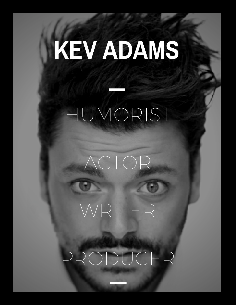# **KEV ADAMS** HUMORIST

PRODUCER

WRITER

ACTOR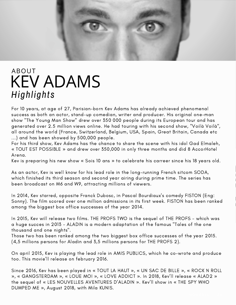# KEV ADAMS ABOUT *Highl ights*

For 10 years, at age of 27, Parisian-born Kev Adams has already achieved phenomenal success as both an actor, stand-up comedian, writer and producer. His original one-man show "The Young Man Show" drew over 350 000 people during its European tour and has generated over 2.5 million views online. He had touring with his second show, "Voilà Voilà", all around the world (France, Switzerland, Belgium, USA, Spain, Great Britain, Canada etc ...) and has been showed by 500,000 people.

For his third show, Kev Adams has the chance to share the scene with his idol Gad Elmaleh, « TOUT EST POSSIBLE » and drew over 350,000 in only three months and did 8 AccorHotel Arena.

Kev is preparing his new show « Sois 10 ans » to celebrate his carreer since his 18 years old.

As an actor, Kev is well know for his lead role in the long-running French sitcom SODA, which finished its third season and second year airing during prime time. The series has been broadcast on M6 and W9, attracting millions of viewers.

In 2014, Kev starred, opposite Franck Dubosc, in Pascal Bourdiaux's comedy FISTON (Eng: Sonny). The film scored over one million admissions in its first week. FISTON has been ranked among the biggest box office successes of the year 2014.

In 2015, Kev will release two films. THE PROFS TWO is the sequel of THE PROFS - which was a huge succes in 2013 - ALADIN is a modern adaptation of the famous "Tales of the one thousand and one nights".

Those two has been ranked among the two biggest box office successes of the year 2015. (4,5 millions persons for Aladin and 3,5 millions persons for THE PROFS 2).

On april 2015, Kev is playing the lead role in AMIS PUBLICS, which he co-wrote and produce too. This movie'll release on february 2016.

Since 2016, Kev has been played in « TOUT LA HAUT », « UN SAC DE BILLE », « ROCK N ROLL », « GANGSTERDAM », « LOUE MOI », « LOVE ADDICT ». In 2018, Kev'll release « ALAD2 » the sequel of « LES NOUVELLES AVENTURES D'ALADIN ». Kev'll show in « THE SPY WHO DUMPED ME », August 2018, with Mila KUNIS.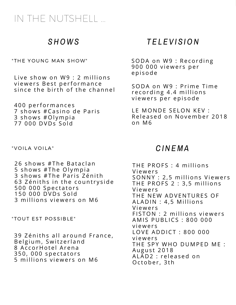## IN THE NUTSHELL ...

#### *S HOWS*

"THE YOUNG MAN SHOW"

Live show on W9 : 2 millions viewers Best performance since the birth of the channel

400 performances 7 shows #Casino de Paris 3 shows #Olympia 77 000 DVDs Sold

" VOILA VOILA"

26 shows #The Bataclan 5 shows #The Olympia 3 shows #The Paris Zénith 63 Zéniths in the countryside 500 000 Spectators 150 000 DVDs Sold 3 millions viewers on M6

" TOUT EST POSSIBLE"

39 Zéniths all around France, Belgium, Switzerland 8 AccorHotel Arena 350, 000 spectators 5 millions viewers on M6

#### *T E L E V I S ION*

SODA on W9 : Recording 900 000 viewers per epi sode

SODA on W9 : Prime Time recording 4.4 millions viewers per episode

LE MONDE SELON KEV : Released on November 2018 on M 6

#### *C I N EMA*

THE PROFS : 4 millions **Viewers** SONNY : 2,5 millions Viewers THE PROFS 2 : 3,5 millions **Viewers** THE NEW ADVENTURES OF ALADIN : 4,5 Millions **Viewers** FISTON : 2 millions viewers AMIS PUBLICS : 800 000 v i ewe r s LOVE ADDICT: 800 000 v i ewe r s THE SPY WHO DUMPED ME : August 2018 ALAD2 : released on October, 3th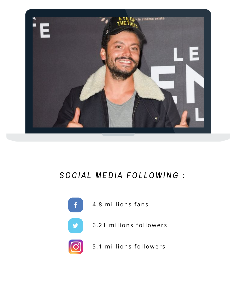

### *SOC I A L ME D I A FOL LOWI NG :*



4,8 millions fans



6,21 milions followers



5,1 millions followers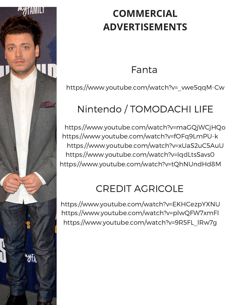

# **COMMERCIAL ADVERTISEMENTS**

Fanta

[https://www.youtube.com/watch?v=\\_vwe5qqM-Cw](https://www.youtube.com/watch?v=_vwe5qqM-Cw)

# Nintendo / TOMODACHI LIFE

<https://www.youtube.com/watch?v=maGQjWCjHQo> <https://www.youtube.com/watch?v=fOFq9LmPU-k> <https://www.youtube.com/watch?v=xUaS2uC5AuU> <https://www.youtube.com/watch?v=IqdLtsSavs0> <https://www.youtube.com/watch?v=tQhNUndHd8M>

# CREDIT AGRICOLE

<https://www.youtube.com/watch?v=EKHCezpYXNU> <https://www.youtube.com/watch?v=plwQFW7xmFI> [https://www.youtube.com/watch?v=9R5FL\\_lRw7g](https://www.youtube.com/watch?v=9R5FL_lRw7g)